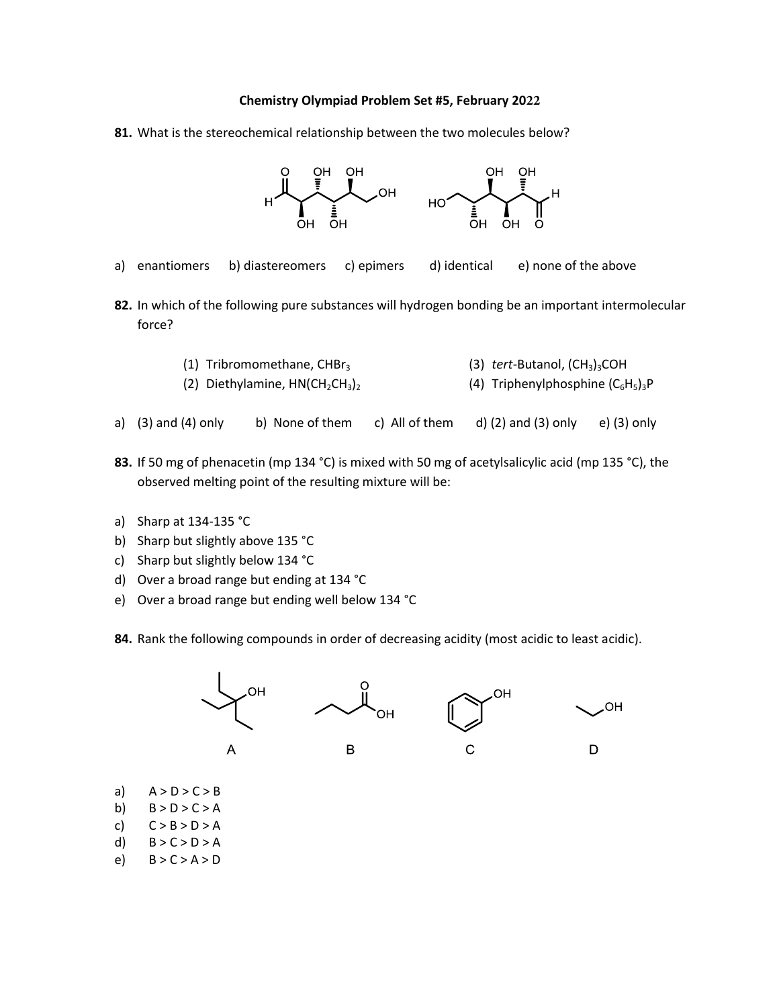## **Chemistry Olympiad Problem Set #5, February 2022**

**81.** What is the stereochemical relationship between the two molecules below?



- a) enantiomers b) diastereomers c) epimers d) identical e) none of the above
- **82.** In which of the following pure substances will hydrogen bonding be an important intermolecular force?

| (1) Tribromomethane, CHB $r_3$     | (3) $tert$ -Butanol, $(CH_3)_3COH$   |
|------------------------------------|--------------------------------------|
| (2) Diethylamine, $HN(CH_2CH_3)_2$ | (4) Triphenylphosphine $(C_6H_5)_3P$ |

- a)  $(3)$  and  $(4)$  only b) None of them c) All of them d)  $(2)$  and  $(3)$  only e)  $(3)$  only
- **83.** If 50 mg of phenacetin (mp 134 °C) is mixed with 50 mg of acetylsalicylic acid (mp 135 °C), the observed melting point of the resulting mixture will be:
- a) Sharp at 134-135 °C
- b) Sharp but slightly above 135 °C
- c) Sharp but slightly below 134 °C
- d) Over a broad range but ending at 134 °C
- e) Over a broad range but ending well below 134 °C

84. Rank the following compounds in order of decreasing acidity (most acidic to least acidic).



- a)  $A > D > C > B$
- b)  $B > D > C > A$
- c)  $C > B > D > A$
- d)  $B > C > D > A$
- e)  $B > C > A > D$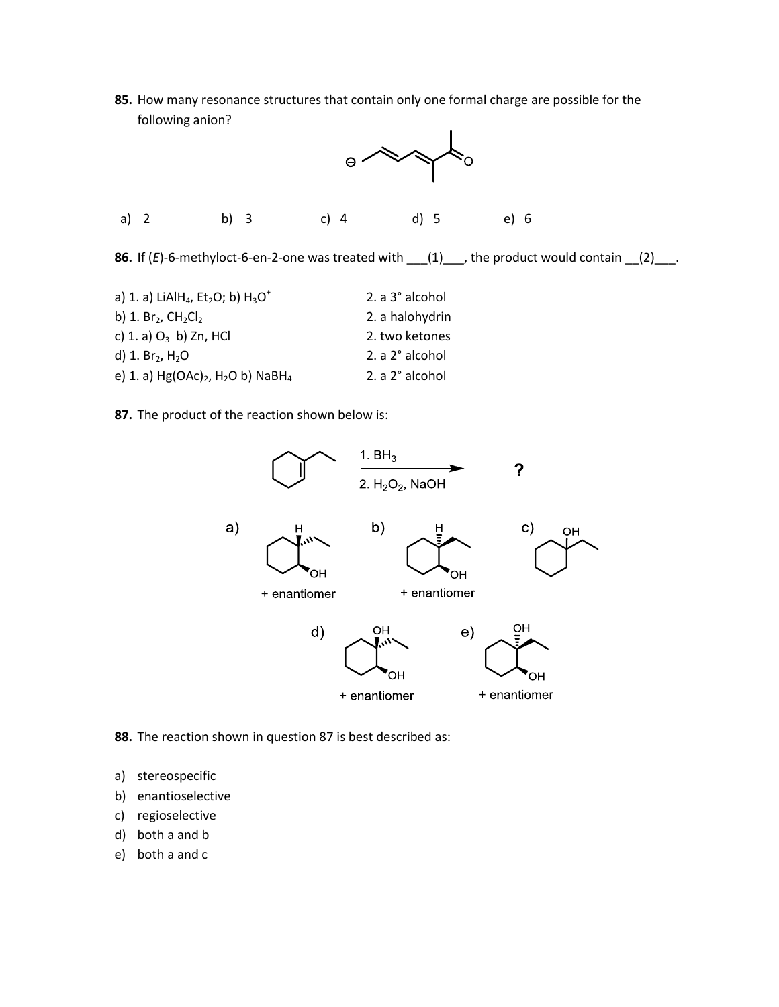**85.** How many resonance structures that contain only one formal charge are possible for the following anion?



**86.** If  $(E)$ -6-methyloct-6-en-2-one was treated with  $\underline{\hspace{1cm}}(1)\underline{\hspace{1cm}}$ , the product would contain  $\underline{\hspace{1cm}}(2)\underline{\hspace{1cm}}$ .

| 2. a 3° alcohol |
|-----------------|
| 2. a halohydrin |
| 2. two ketones  |
| 2. a 2° alcohol |
| 2. a 2° alcohol |
|                 |

**87.** The product of the reaction shown below is:



**88.** The reaction shown in question 87 is best described as:

- a) stereospecific
- b) enantioselective
- c) regioselective
- d) both a and b
- e) both a and c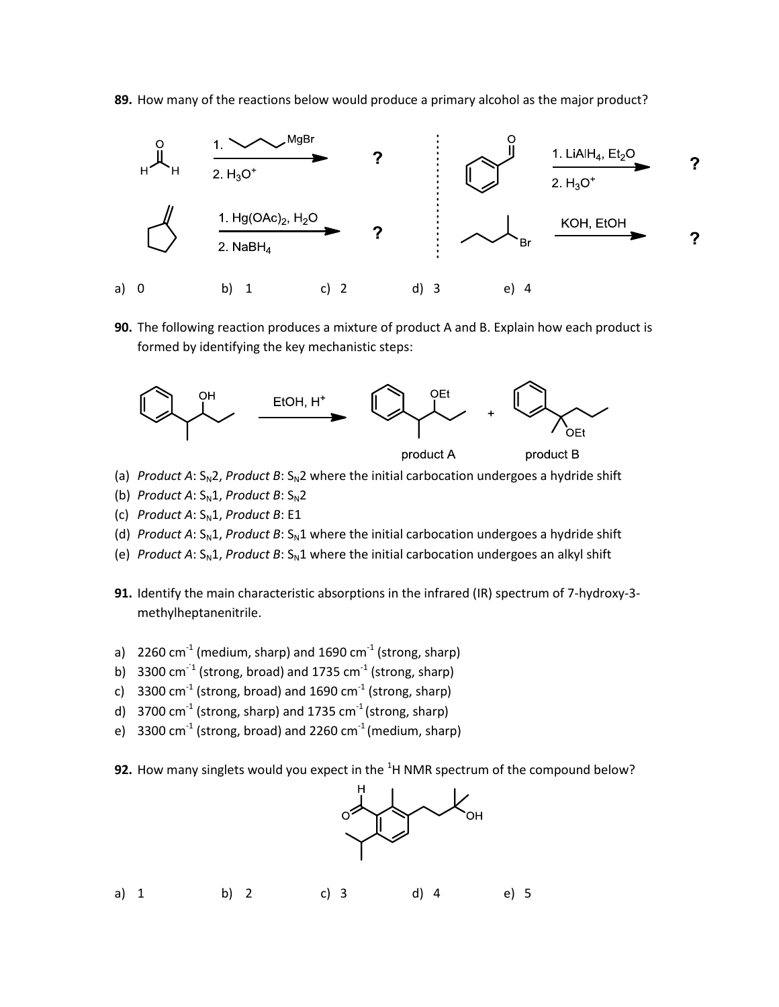**89.** How many of the reactions below would produce a primary alcohol as the major product?



**90.** The following reaction produces a mixture of product A and B. Explain how each product is formed by identifying the key mechanistic steps:



- (a) *Product A*:  $S_N$ 2, *Product B*:  $S_N$ 2 where the initial carbocation undergoes a hydride shift
- (b) *Product A*:  $S_N1$ , *Product B*:  $S_N2$
- (c) *Product A*:  $S<sub>N</sub>1$ *, Product B*: E1
- (d) *Product A*:  $S_N1$ , *Product B*:  $S_N1$  where the initial carbocation undergoes a hydride shift
- (e) *Product A*:  $S_N1$ , *Product B*:  $S_N1$  where the initial carbocation undergoes an alkyl shift
- **91.** Identify the main characteristic absorptions in the infrared (IR) spectrum of 7-hydroxy-3 methylheptanenitrile.
- a)  $2260$  cm<sup>-1</sup> (medium, sharp) and 1690 cm<sup>-1</sup> (strong, sharp)
- b)  $3300 \text{ cm}^{-1}$  (strong, broad) and 1735 cm $^{-1}$  (strong, sharp)
- c)  $\,$  3300 cm $^{-1}$  (strong, broad) and 1690 cm $^{-1}$  (strong, sharp)
- d)  $\,$  3700 cm $^{-1}$  (strong, sharp) and 1735 cm $^{-1}$  (strong, sharp)
- e)  $\,$  3300 cm $^{-1}$  (strong, broad) and 2260 cm $^{-1}$  (medium, sharp)
- **92.** How many singlets would you expect in the <sup>1</sup>H NMR spectrum of the compound below?



| a) $1$ | b) 2 | c) 3 | d) 4 | e) 5 |  |
|--------|------|------|------|------|--|
|        |      |      |      |      |  |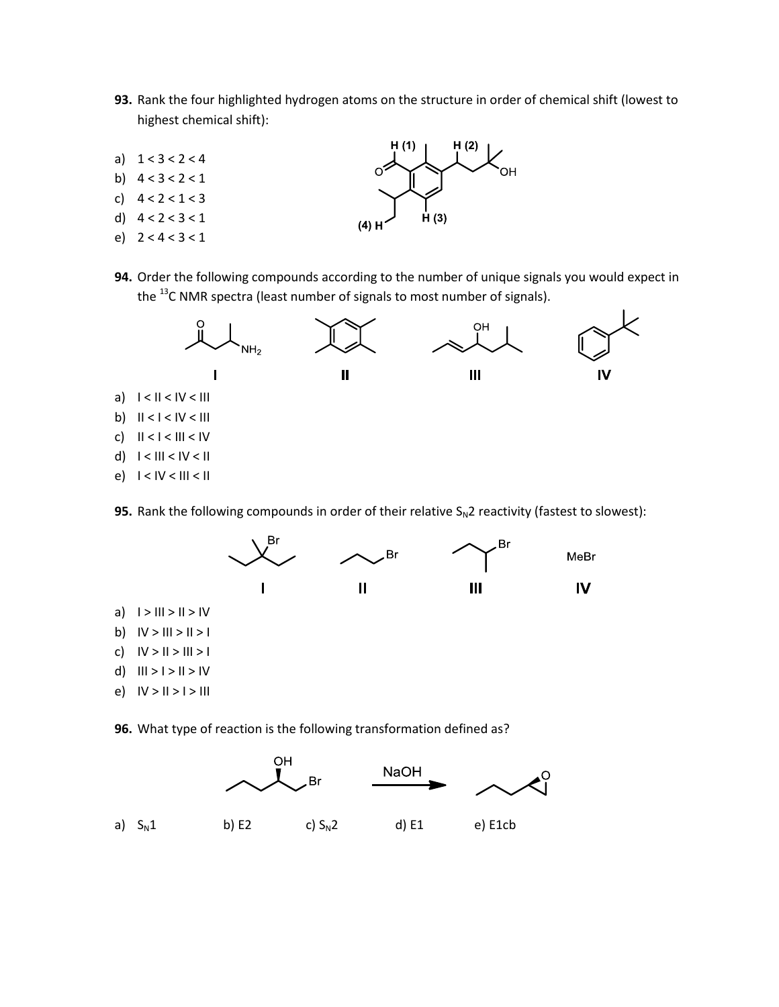- **93.** Rank the four highlighted hydrogen atoms on the structure in order of chemical shift (lowest to highest chemical shift):
- a)  $1 < 3 < 2 < 4$
- b)  $4 < 3 < 2 < 1$
- c)  $4 < 2 < 1 < 3$ d)  $4 < 2 < 3 < 1$
- e) 2 < 4 < 3 < 1
- 



**94.** Order the following compounds according to the number of unique signals you would expect in the  $^{13}$ C NMR spectra (least number of signals to most number of signals).



**95.** Rank the following compounds in order of their relative  $S_N$ 2 reactivity (fastest to slowest):



**96.** What type of reaction is the following transformation defined as?